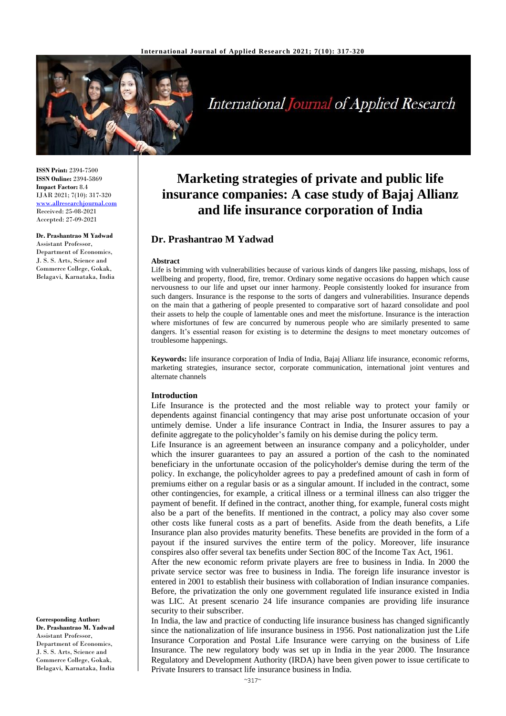

# **International Journal of Applied Research**

**ISSN Print:** 2394-7500 **ISSN Online:** 2394-5869 **Impact Factor:** 8.4 IJAR 2021; 7(10): 317-320 <www.allresearchjournal.com> Received: 25-08-2021 Accepted: 27-09-2021

**Dr. Prashantrao M Yadwad** Assistant Professor, Department of Economics, J. S. S. Arts, Science and Commerce College, Gokak, Belagavi, Karnataka, India

**Corresponding Author: Dr. Prashantrao M. Yadwad** Assistant Professor, Department of Economics, J. S. S. Arts, Science and Commerce College, Gokak, Belagavi, Karnataka, India

## **Marketing strategies of private and public life insurance companies: A case study of Bajaj Allianz and life insurance corporation of India**

### **Dr. Prashantrao M Yadwad**

#### **Abstract**

Life is brimming with vulnerabilities because of various kinds of dangers like passing, mishaps, loss of wellbeing and property, flood, fire, tremor. Ordinary some negative occasions do happen which cause nervousness to our life and upset our inner harmony. People consistently looked for insurance from such dangers. Insurance is the response to the sorts of dangers and vulnerabilities. Insurance depends on the main that a gathering of people presented to comparative sort of hazard consolidate and pool their assets to help the couple of lamentable ones and meet the misfortune. Insurance is the interaction where misfortunes of few are concurred by numerous people who are similarly presented to same dangers. It's essential reason for existing is to determine the designs to meet monetary outcomes of troublesome happenings.

**Keywords:** life insurance corporation of India of India, Bajaj Allianz life insurance, economic reforms, marketing strategies, insurance sector, corporate communication, international joint ventures and alternate channels

#### **Introduction**

Life Insurance is the protected and the most reliable way to protect your family or dependents against financial contingency that may arise post unfortunate occasion of your untimely demise. Under a life insurance Contract in India, the Insurer assures to pay a definite aggregate to the policyholder's family on his demise during the policy term.

Life Insurance is an agreement between an insurance company and a policyholder, under which the insurer guarantees to pay an assured a portion of the cash to the nominated beneficiary in the unfortunate occasion of the policyholder's demise during the term of the policy. In exchange, the policyholder agrees to pay a predefined amount of cash in form of premiums either on a regular basis or as a singular amount. If included in the contract, some other contingencies, for example, a critical illness or a terminal illness can also trigger the payment of benefit. If defined in the contract, another thing, for example, funeral costs might also be a part of the benefits. If mentioned in the contract, a policy may also cover some other costs like funeral costs as a part of benefits. Aside from the death benefits, a Life Insurance plan also provides maturity benefits. These benefits are provided in the form of a payout if the insured survives the entire term of the policy. Moreover, life insurance conspires also offer several tax benefits under Section 80C of the Income Tax Act, 1961.

After the new economic reform private players are free to business in India. In 2000 the private service sector was free to business in India. The foreign life insurance investor is entered in 2001 to establish their business with collaboration of Indian insurance companies. Before, the privatization the only one government regulated life insurance existed in India was LIC. At present scenario 24 life insurance companies are providing life insurance security to their subscriber.

In India, the law and practice of conducting life insurance business has changed significantly since the nationalization of life insurance business in 1956. Post nationalization just the Life Insurance Corporation and Postal Life Insurance were carrying on the business of Life Insurance. The new regulatory body was set up in India in the year 2000. The Insurance Regulatory and Development Authority (IRDA) have been given power to issue certificate to Private Insurers to transact life insurance business in India.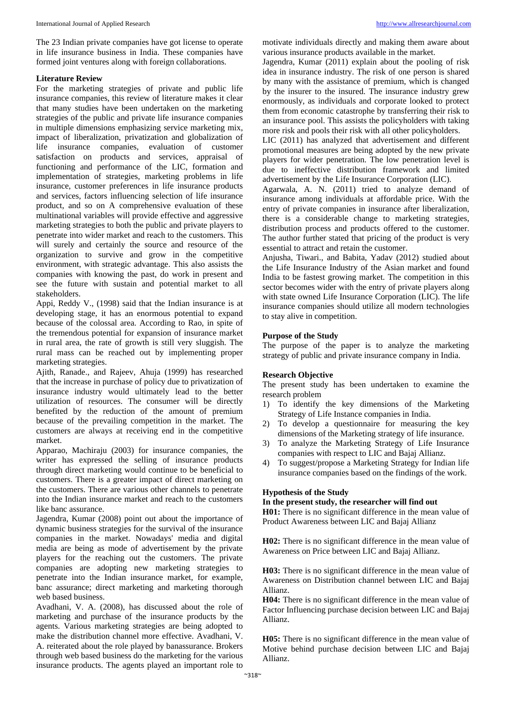The 23 Indian private companies have got license to operate in life insurance business in India. These companies have formed joint ventures along with foreign collaborations.

#### **Literature Review**

For the marketing strategies of private and public life insurance companies, this review of literature makes it clear that many studies have been undertaken on the marketing strategies of the public and private life insurance companies in multiple dimensions emphasizing service marketing mix, impact of liberalization, privatization and globalization of life insurance companies, evaluation of customer satisfaction on products and services, appraisal of functioning and performance of the LIC, formation and implementation of strategies, marketing problems in life insurance, customer preferences in life insurance products and services, factors influencing selection of life insurance product, and so on A comprehensive evaluation of these multinational variables will provide effective and aggressive marketing strategies to both the public and private players to penetrate into wider market and reach to the customers. This will surely and certainly the source and resource of the organization to survive and grow in the competitive environment, with strategic advantage. This also assists the companies with knowing the past, do work in present and see the future with sustain and potential market to all stakeholders.

Appi, Reddy V., (1998) said that the Indian insurance is at developing stage, it has an enormous potential to expand because of the colossal area. According to Rao, in spite of the tremendous potential for expansion of insurance market in rural area, the rate of growth is still very sluggish. The rural mass can be reached out by implementing proper marketing strategies.

Ajith, Ranade., and Rajeev, Ahuja (1999) has researched that the increase in purchase of policy due to privatization of insurance industry would ultimately lead to the better utilization of resources. The consumer will be directly benefited by the reduction of the amount of premium because of the prevailing competition in the market. The customers are always at receiving end in the competitive market.

Apparao, Machiraju (2003) for insurance companies, the writer has expressed the selling of insurance products through direct marketing would continue to be beneficial to customers. There is a greater impact of direct marketing on the customers. There are various other channels to penetrate into the Indian insurance market and reach to the customers like banc assurance.

Jagendra, Kumar (2008) point out about the importance of dynamic business strategies for the survival of the insurance companies in the market. Nowadays' media and digital media are being as mode of advertisement by the private players for the reaching out the customers. The private companies are adopting new marketing strategies to penetrate into the Indian insurance market, for example, banc assurance; direct marketing and marketing thorough web based business.

Avadhani, V. A. (2008), has discussed about the role of marketing and purchase of the insurance products by the agents. Various marketing strategies are being adopted to make the distribution channel more effective. Avadhani, V. A. reiterated about the role played by banassurance. Brokers through web based business do the marketing for the various insurance products. The agents played an important role to

motivate individuals directly and making them aware about various insurance products available in the market.

Jagendra, Kumar (2011) explain about the pooling of risk idea in insurance industry. The risk of one person is shared by many with the assistance of premium, which is changed by the insurer to the insured. The insurance industry grew enormously, as individuals and corporate looked to protect them from economic catastrophe by transferring their risk to an insurance pool. This assists the policyholders with taking more risk and pools their risk with all other policyholders.

LIC (2011) has analyzed that advertisement and different promotional measures are being adopted by the new private players for wider penetration. The low penetration level is due to ineffective distribution framework and limited advertisement by the Life Insurance Corporation (LIC).

Agarwala, A. N. (2011) tried to analyze demand of insurance among individuals at affordable price. With the entry of private companies in insurance after liberalization, there is a considerable change to marketing strategies, distribution process and products offered to the customer. The author further stated that pricing of the product is very essential to attract and retain the customer.

Anjusha, Tiwari., and Babita, Yadav (2012) studied about the Life Insurance Industry of the Asian market and found India to be fastest growing market. The competition in this sector becomes wider with the entry of private players along with state owned Life Insurance Corporation (LIC). The life insurance companies should utilize all modern technologies to stay alive in competition.

#### **Purpose of the Study**

The purpose of the paper is to analyze the marketing strategy of public and private insurance company in India.

#### **Research Objective**

The present study has been undertaken to examine the research problem

- 1) To identify the key dimensions of the Marketing Strategy of Life Instance companies in India.
- 2) To develop a questionnaire for measuring the key dimensions of the Marketing strategy of life insurance.
- 3) To analyze the Marketing Strategy of Life Insurance companies with respect to LIC and Bajaj Allianz.
- 4) To suggest/propose a Marketing Strategy for Indian life insurance companies based on the findings of the work.

#### **Hypothesis of the Study**

#### **In the present study, the researcher will find out**

**H01:** There is no significant difference in the mean value of Product Awareness between LIC and Bajaj Allianz

**H02:** There is no significant difference in the mean value of Awareness on Price between LIC and Bajaj Allianz.

**H03:** There is no significant difference in the mean value of Awareness on Distribution channel between LIC and Bajaj Allianz.

**H04:** There is no significant difference in the mean value of Factor Influencing purchase decision between LIC and Bajaj Allianz.

**H05:** There is no significant difference in the mean value of Motive behind purchase decision between LIC and Bajaj Allianz.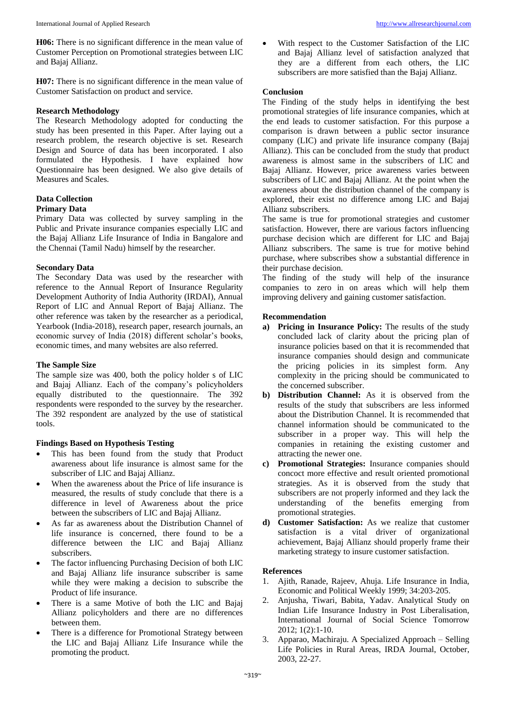**H06:** There is no significant difference in the mean value of Customer Perception on Promotional strategies between LIC and Bajaj Allianz.

**H07:** There is no significant difference in the mean value of Customer Satisfaction on product and service.

#### **Research Methodology**

The Research Methodology adopted for conducting the study has been presented in this Paper. After laying out a research problem, the research objective is set. Research Design and Source of data has been incorporated. I also formulated the Hypothesis. I have explained how Questionnaire has been designed. We also give details of Measures and Scales.

#### **Data Collection**

#### **Primary Data**

Primary Data was collected by survey sampling in the Public and Private insurance companies especially LIC and the Bajaj Allianz Life Insurance of India in Bangalore and the Chennai (Tamil Nadu) himself by the researcher.

#### **Secondary Data**

The Secondary Data was used by the researcher with reference to the Annual Report of Insurance Regularity Development Authority of India Authority (IRDAI), Annual Report of LIC and Annual Report of Bajaj Allianz. The other reference was taken by the researcher as a periodical, Yearbook (India-2018), research paper, research journals, an economic survey of India (2018) different scholar's books, economic times, and many websites are also referred.

#### **The Sample Size**

The sample size was 400, both the policy holder s of LIC and Bajaj Allianz. Each of the company's policyholders equally distributed to the questionnaire. The 392 respondents were responded to the survey by the researcher. The 392 respondent are analyzed by the use of statistical tools.

#### **Findings Based on Hypothesis Testing**

- This has been found from the study that Product awareness about life insurance is almost same for the subscriber of LIC and Bajaj Allianz.
- When the awareness about the Price of life insurance is measured, the results of study conclude that there is a difference in level of Awareness about the price between the subscribers of LIC and Bajaj Allianz.
- As far as awareness about the Distribution Channel of life insurance is concerned, there found to be a difference between the LIC and Bajaj Allianz subscribers.
- The factor influencing Purchasing Decision of both LIC and Bajaj Allianz life insurance subscriber is same while they were making a decision to subscribe the Product of life insurance.
- There is a same Motive of both the LIC and Bajaj Allianz policyholders and there are no differences between them.
- There is a difference for Promotional Strategy between the LIC and Bajaj Allianz Life Insurance while the promoting the product.

• With respect to the Customer Satisfaction of the LIC and Bajaj Allianz level of satisfaction analyzed that they are a different from each others, the LIC subscribers are more satisfied than the Bajaj Allianz.

#### **Conclusion**

The Finding of the study helps in identifying the best promotional strategies of life insurance companies, which at the end leads to customer satisfaction. For this purpose a comparison is drawn between a public sector insurance company (LIC) and private life insurance company (Bajaj Allianz). This can be concluded from the study that product awareness is almost same in the subscribers of LIC and Bajaj Allianz. However, price awareness varies between subscribers of LIC and Bajaj Allianz. At the point when the awareness about the distribution channel of the company is explored, their exist no difference among LIC and Bajaj Allianz subscribers.

The same is true for promotional strategies and customer satisfaction. However, there are various factors influencing purchase decision which are different for LIC and Bajaj Allianz subscribers. The same is true for motive behind purchase, where subscribes show a substantial difference in their purchase decision.

The finding of the study will help of the insurance companies to zero in on areas which will help them improving delivery and gaining customer satisfaction.

#### **Recommendation**

- **a) Pricing in Insurance Policy:** The results of the study concluded lack of clarity about the pricing plan of insurance policies based on that it is recommended that insurance companies should design and communicate the pricing policies in its simplest form. Any complexity in the pricing should be communicated to the concerned subscriber.
- **b) Distribution Channel:** As it is observed from the results of the study that subscribers are less informed about the Distribution Channel. It is recommended that channel information should be communicated to the subscriber in a proper way. This will help the companies in retaining the existing customer and attracting the newer one.
- **c) Promotional Strategies:** Insurance companies should concoct more effective and result oriented promotional strategies. As it is observed from the study that subscribers are not properly informed and they lack the understanding of the benefits emerging from promotional strategies.
- **d) Customer Satisfaction:** As we realize that customer satisfaction is a vital driver of organizational achievement, Bajaj Allianz should properly frame their marketing strategy to insure customer satisfaction.

#### **References**

- 1. Ajith, Ranade, Rajeev, Ahuja. Life Insurance in India, Economic and Political Weekly 1999; 34:203-205.
- 2. Anjusha, Tiwari, Babita, Yadav. Analytical Study on Indian Life Insurance Industry in Post Liberalisation, International Journal of Social Science Tomorrow 2012; 1(2):1-10.
- 3. Apparao, Machiraju. A Specialized Approach Selling Life Policies in Rural Areas, IRDA Journal, October, 2003, 22-27.